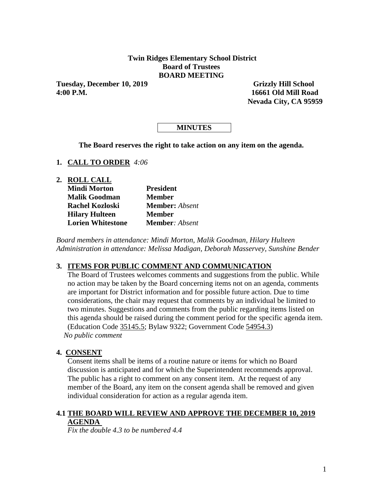# **Twin Ridges Elementary School District Board of Trustees BOARD MEETING**

**Tuesday, December 10, 2019 Grizzly Hill School 4:00 P.M. 16661 Old Mill Road** 

 **Nevada City, CA 95959**

# **MINUTES**

**The Board reserves the right to take action on any item on the agenda.**

- **1. CALL TO ORDER** *4:06*
- **2. ROLL CALL**

| <b>Mindi Morton</b>      | <b>President</b>      |
|--------------------------|-----------------------|
| <b>Malik Goodman</b>     | <b>Member</b>         |
| <b>Rachel Kozloski</b>   | <b>Member:</b> Absent |
| <b>Hilary Hulteen</b>    | <b>Member</b>         |
| <b>Lorien Whitestone</b> | <b>Member:</b> Absent |

*Board members in attendance: Mindi Morton, Malik Goodman, Hilary Hulteen Administration in attendance: Melissa Madigan, Deborah Masservey, Sunshine Bender* 

# **3. ITEMS FOR PUBLIC COMMENT AND COMMUNICATION**

The Board of Trustees welcomes comments and suggestions from the public. While no action may be taken by the Board concerning items not on an agenda, comments are important for District information and for possible future action. Due to time considerations, the chair may request that comments by an individual be limited to two minutes. Suggestions and comments from the public regarding items listed on this agenda should be raised during the comment period for the specific agenda item. (Education Code 35145.5; Bylaw 9322; Government Code 54954.3) *No public comment* 

# **4. CONSENT**

Consent items shall be items of a routine nature or items for which no Board discussion is anticipated and for which the Superintendent recommends approval. The public has a right to comment on any consent item. At the request of any member of the Board, any item on the consent agenda shall be removed and given individual consideration for action as a regular agenda item.

# **4.1 THE BOARD WILL REVIEW AND APPROVE THE DECEMBER 10, 2019 AGENDA**

*Fix the double 4.3 to be numbered 4.4*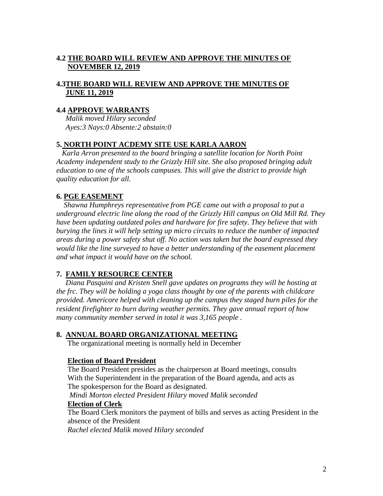# **4.2 THE BOARD WILL REVIEW AND APPROVE THE MINUTES OF NOVEMBER 12, 2019**

# **4.3THE BOARD WILL REVIEW AND APPROVE THE MINUTES OF JUNE 11, 2019**

# **4.4 APPROVE WARRANTS**

 *Malik moved Hilary seconded Ayes:3 Nays:0 Absente:2 abstain:0* 

# **5. NORTH POINT ACDEMY SITE USE KARLA AARON**

 *Karla Arron presented to the board bringing a satellite location for North Point Academy independent study to the Grizzly Hill site. She also proposed bringing adult education to one of the schools campuses. This will give the district to provide high quality education for all.*

# **6. PGE EASEMENT**

*Shawna Humphreys representative from PGE came out with a proposal to put a underground electric line along the road of the Grizzly Hill campus on Old Mill Rd. They have been updating outdated poles and hardware for fire safety. They believe that with burying the lines it will help setting up micro circuits to reduce the number of impacted areas during a power safety shut off. No action was taken but the board expressed they*  would like the line surveyed to have a better understanding of the easement placement *and what impact it would have on the school.*

# **7. FAMILY RESOURCE CENTER**

*Diana Pasquini and Kristen Snell gave updates on programs they will be hosting at the frc. They will be holding a yoga class thought by one of the parents with childcare provided. Americore helped with cleaning up the campus they staged burn piles for the resident firefighter to burn during weather permits. They gave annual report of how many community member served in total it was 3,165 people .* 

# **8. ANNUAL BOARD ORGANIZATIONAL MEETING**

The organizational meeting is normally held in December

# **Election of Board President**

The Board President presides as the chairperson at Board meetings, consults With the Superintendent in the preparation of the Board agenda, and acts as The spokesperson for the Board as designated.

 *Mindi Morton elected President Hilary moved Malik seconded*  **Election of Clerk**

The Board Clerk monitors the payment of bills and serves as acting President in the absence of the President

*Rachel elected Malik moved Hilary seconded*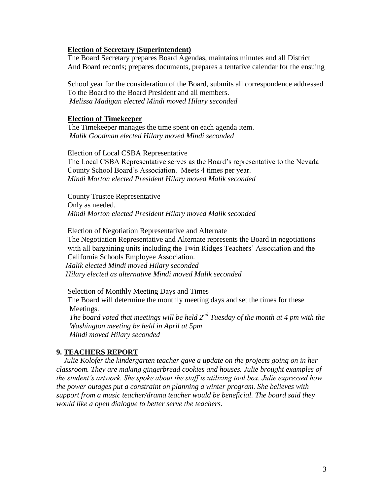#### **Election of Secretary (Superintendent)**

The Board Secretary prepares Board Agendas, maintains minutes and all District And Board records; prepares documents, prepares a tentative calendar for the ensuing

School year for the consideration of the Board, submits all correspondence addressed To the Board to the Board President and all members.  *Melissa Madigan elected Mindi moved Hilary seconded* 

#### **Election of Timekeeper**

The Timekeeper manages the time spent on each agenda item. *Malik Goodman elected Hilary moved Mindi seconded* 

Election of Local CSBA Representative

The Local CSBA Representative serves as the Board's representative to the Nevada County School Board's Association. Meets 4 times per year.  *Mindi Morton elected President Hilary moved Malik seconded*

 County Trustee Representative Only as needed.  *Mindi Morton elected President Hilary moved Malik seconded*

 Election of Negotiation Representative and Alternate The Negotiation Representative and Alternate represents the Board in negotiations with all bargaining units including the Twin Ridges Teachers' Association and the California Schools Employee Association.  *Malik elected Mindi moved Hilary seconded Hilary elected as alternative Mindi moved Malik seconded* 

 Selection of Monthly Meeting Days and Times The Board will determine the monthly meeting days and set the times for these Meetings. *The board voted that meetings will be held 2nd Tuesday of the month at 4 pm with the Washington meeting be held in April at 5pm Mindi moved Hilary seconded* 

# **9. TEACHERS REPORT**

 *Julie Kolofer the kindergarten teacher gave a update on the projects going on in her classroom. They are making gingerbread cookies and houses. Julie brought examples of the student's artwork. She spoke about the staff is utilizing tool box. Julie expressed how the power outages put a constraint on planning a winter program. She believes with support from a music teacher/drama teacher would be beneficial. The board said they would like a open dialogue to better serve the teachers.*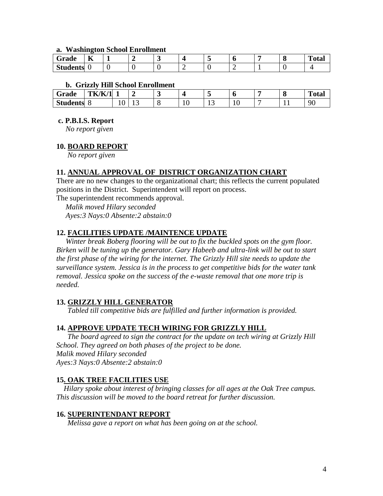#### **a. Washington School Enrollment**

| Grade           | --<br>A |  | - |  |  | . . | m.<br>`otal |
|-----------------|---------|--|---|--|--|-----|-------------|
| <b>Students</b> |         |  |   |  |  |     |             |

# **b. Grizzly Hill School Enrollment**

| ~<br>Grade      | TK/K<br>/1 |                     |       | $\overline{\phantom{a}}$ |     | $\tilde{\phantom{a}}$ |   | . . | m<br>'otal |
|-----------------|------------|---------------------|-------|--------------------------|-----|-----------------------|---|-----|------------|
| <b>Students</b> |            | $\cdot$<br><b>.</b> | . . J | ີ                        | ⊥ ∪ | ∸                     | ◡ |     | 90         |

# **c. P.B.I.S. Report**

*No report given*

# **10. BOARD REPORT**

*No report given* 

# **11. ANNUAL APPROVAL OF DISTRICT ORGANIZATION CHART**

There are no new changes to the organizational chart; this reflects the current populated positions in the District. Superintendent will report on process.

The superintendent recommends approval.

 *Malik moved Hilary seconded Ayes:3 Nays:0 Absente:2 abstain:0* 

# **12. FACILITIES UPDATE /MAINTENCE UPDATE**

 *Winter break Boberg flooring will be out to fix the buckled spots on the gym floor. Birken will be tuning up the generator. Gary Habeeb and ultra-link will be out to start the first phase of the wiring for the internet. The Grizzly Hill site needs to update the surveillance system. Jessica is in the process to get competitive bids for the water tank removal. Jessica spoke on the success of the e-waste removal that one more trip is needed.*

# **13. GRIZZLY HILL GENERATOR**

*Tabled till competitive bids are fulfilled and further information is provided.*

# **14. APPROVE UPDATE TECH WIRING FOR GRIZZLY HILL**

*The board agreed to sign the contract for the update on tech wiring at Grizzly Hill School. They agreed on both phases of the project to be done. Malik moved Hilary seconded Ayes:3 Nays:0 Absente:2 abstain:0* 

# **15. OAK TREE FACILITIES USE**

 *Hilary spoke about interest of bringing classes for all ages at the Oak Tree campus. This discussion will be moved to the board retreat for further discussion.*

#### **16. SUPERINTENDANT REPORT**

*Melissa gave a report on what has been going on at the school.*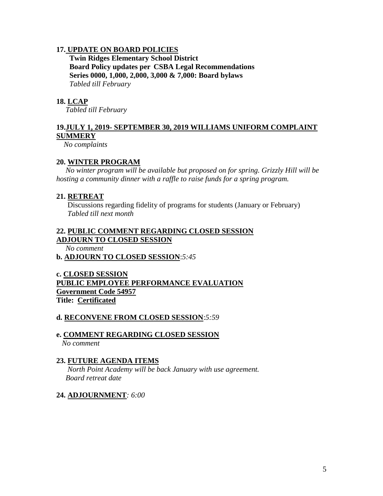# **17. UPDATE ON BOARD POLICIES**

 **Twin Ridges Elementary School District Board Policy updates per CSBA Legal Recommendations Series 0000, 1,000, 2,000, 3,000 & 7,000: Board bylaws** *Tabled till February* 

# **18. LCAP**

*Tabled till February* 

# **19.JULY 1, 2019- SEPTEMBER 30, 2019 WILLIAMS UNIFORM COMPLAINT SUMMERY**

 *No complaints* 

# **20. WINTER PROGRAM**

 *No winter program will be available but proposed on for spring. Grizzly Hill will be hosting a community dinner with a raffle to raise funds for a spring program.* 

# **21. RETREAT**

 Discussions regarding fidelity of programs for students (January or February)  *Tabled till next month* 

# **22. PUBLIC COMMENT REGARDING CLOSED SESSION ADJOURN TO CLOSED SESSION**

 *No comment* 

**b. ADJOURN TO CLOSED SESSION**:*5:45*

**c. CLOSED SESSION PUBLIC EMPLOYEE PERFORMANCE EVALUATION Government Code 54957 Title: Certificated**

# **d. RECONVENE FROM CLOSED SESSION**:*5:59*

# **e. COMMENT REGARDING CLOSED SESSION**

*No comment* 

# **23. FUTURE AGENDA ITEMS**

*North Point Academy will be back January with use agreement. Board retreat date* 

# **24. ADJOURNMENT***: 6:00*